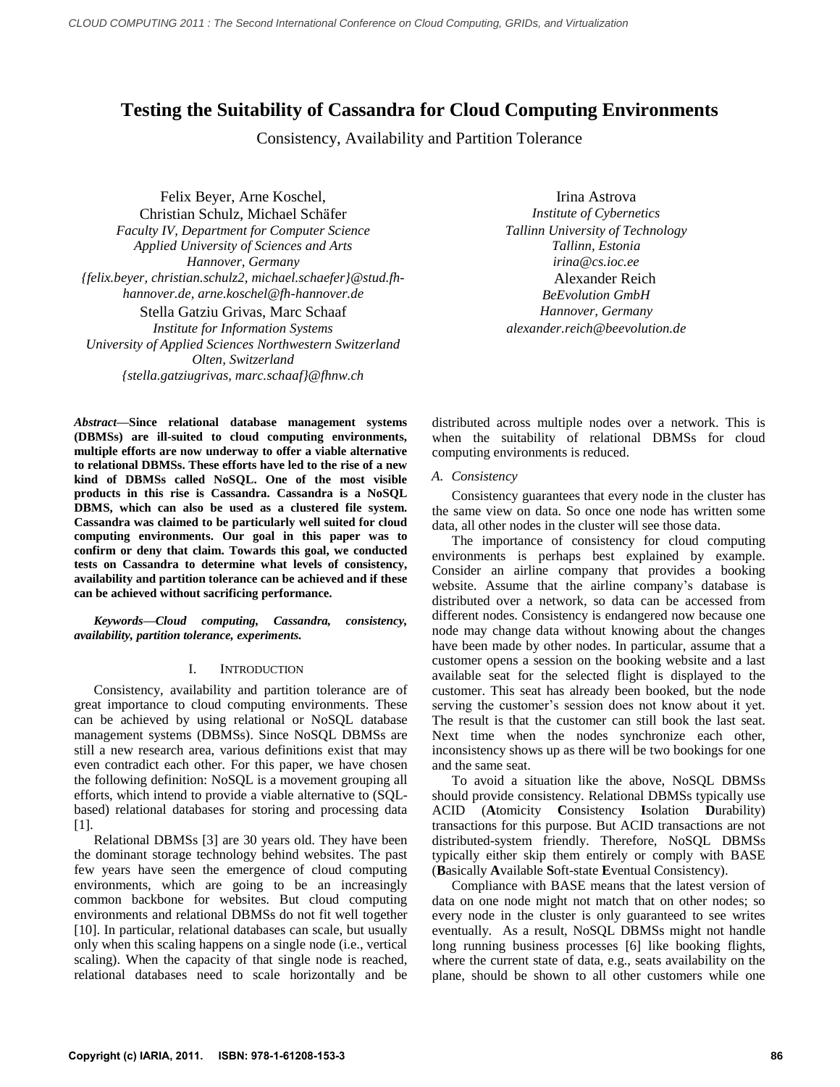# **Testing the Suitability of Cassandra for Cloud Computing Environments**

Consistency, Availability and Partition Tolerance

Felix Beyer, Arne Koschel, Christian Schulz, Michael Schäfer *Faculty IV, Department for Computer Science Applied University of Sciences and Arts Hannover, Germany irina@cs.ioc.ee {felix.beyer, christian.schulz2, michael.schaefer}@stud.fhhannover.de, arne.koschel@fh-hannover.de* Stella Gatziu Grivas, Marc Schaaf *Hannover, Germany Institute for Information Systems University of Applied Sciences Northwestern Switzerland Olten, Switzerland {stella.gatziugrivas, marc.schaaf}@fhnw.ch*

Irina Astrova *Institute of Cybernetics Tallinn University of Technology Tallinn, Estonia* Alexander Reich *BeEvolution GmbH alexander.reich@beevolution.de*

*Abstract***—Since relational database management systems (DBMSs) are ill-suited to cloud computing environments, multiple efforts are now underway to offer a viable alternative to relational DBMSs. These efforts have led to the rise of a new kind of DBMSs called NoSQL. One of the most visible products in this rise is Cassandra. Cassandra is a NoSQL DBMS, which can also be used as a clustered file system. Cassandra was claimed to be particularly well suited for cloud computing environments. Our goal in this paper was to confirm or deny that claim. Towards this goal, we conducted tests on Cassandra to determine what levels of consistency, availability and partition tolerance can be achieved and if these can be achieved without sacrificing performance.** 

*Keywords—Cloud computing, Cassandra, consistency, availability, partition tolerance, experiments.*

## I. INTRODUCTION

Consistency, availability and partition tolerance are of great importance to cloud computing environments. These can be achieved by using relational or NoSQL database management systems (DBMSs). Since NoSQL DBMSs are still a new research area, various definitions exist that may even contradict each other. For this paper, we have chosen the following definition: NoSQL is a movement grouping all efforts, which intend to provide a viable alternative to (SQLbased) relational databases for storing and processing data [1].

Relational DBMSs [3] are 30 years old. They have been the dominant storage technology behind websites. The past few years have seen the emergence of cloud computing environments, which are going to be an increasingly common backbone for websites. But cloud computing environments and relational DBMSs do not fit well together [10]. In particular, relational databases can scale, but usually only when this scaling happens on a single node (i.e., vertical scaling). When the capacity of that single node is reached, relational databases need to scale horizontally and be

distributed across multiple nodes over a network. This is when the suitability of relational DBMSs for cloud computing environments is reduced.

## *A. Consistency*

Consistency guarantees that every node in the cluster has the same view on data. So once one node has written some data, all other nodes in the cluster will see those data.

The importance of consistency for cloud computing environments is perhaps best explained by example. Consider an airline company that provides a booking website. Assume that the airline company's database is distributed over a network, so data can be accessed from different nodes. Consistency is endangered now because one node may change data without knowing about the changes have been made by other nodes. In particular, assume that a customer opens a session on the booking website and a last available seat for the selected flight is displayed to the customer. This seat has already been booked, but the node serving the customer's session does not know about it yet. The result is that the customer can still book the last seat. Next time when the nodes synchronize each other, inconsistency shows up as there will be two bookings for one and the same seat.

To avoid a situation like the above, NoSQL DBMSs should provide consistency. Relational DBMSs typically use ACID (**A**tomicity **C**onsistency **I**solation **D**urability) transactions for this purpose. But ACID transactions are not distributed-system friendly. Therefore, NoSQL DBMSs typically either skip them entirely or comply with BASE (**B**asically **A**vailable **S**oft-state **E**ventual Consistency).

Compliance with BASE means that the latest version of data on one node might not match that on other nodes; so every node in the cluster is only guaranteed to see writes eventually. As a result, NoSQL DBMSs might not handle long running business processes [6] like booking flights, where the current state of data, e.g., seats availability on the plane, should be shown to all other customers while one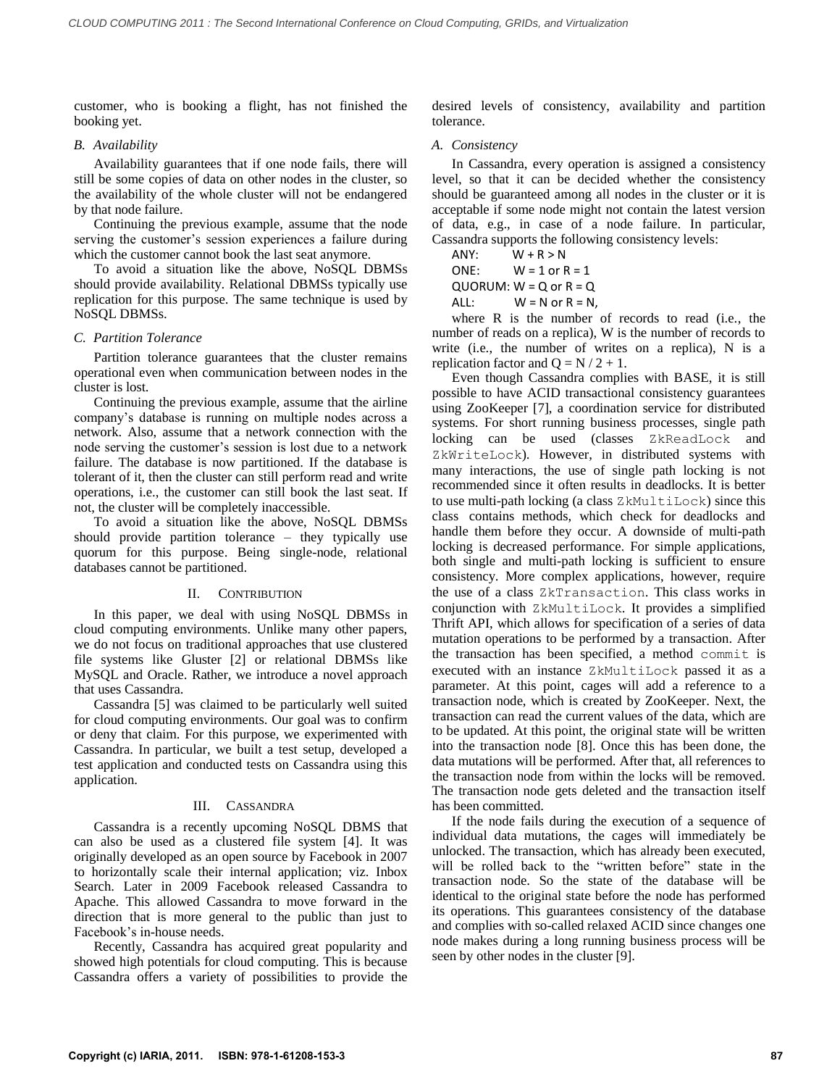customer, who is booking a flight, has not finished the booking yet.

## *B. Availability*

Availability guarantees that if one node fails, there will still be some copies of data on other nodes in the cluster, so the availability of the whole cluster will not be endangered by that node failure.

Continuing the previous example, assume that the node serving the customer's session experiences a failure during which the customer cannot book the last seat anymore.

To avoid a situation like the above, NoSQL DBMSs should provide availability. Relational DBMSs typically use replication for this purpose. The same technique is used by NoSQL DBMSs.

### *C. Partition Tolerance*

Partition tolerance guarantees that the cluster remains operational even when communication between nodes in the cluster is lost.

Continuing the previous example, assume that the airline company's database is running on multiple nodes across a network. Also, assume that a network connection with the node serving the customer's session is lost due to a network failure. The database is now partitioned. If the database is tolerant of it, then the cluster can still perform read and write operations, i.e., the customer can still book the last seat. If not, the cluster will be completely inaccessible.

To avoid a situation like the above, NoSQL DBMSs should provide partition tolerance – they typically use quorum for this purpose. Being single-node, relational databases cannot be partitioned.

### II. CONTRIBUTION

In this paper, we deal with using NoSQL DBMSs in cloud computing environments. Unlike many other papers, we do not focus on traditional approaches that use clustered file systems like Gluster [2] or relational DBMSs like MySQL and Oracle. Rather, we introduce a novel approach that uses Cassandra.

Cassandra [5] was claimed to be particularly well suited for cloud computing environments. Our goal was to confirm or deny that claim. For this purpose, we experimented with Cassandra. In particular, we built a test setup, developed a test application and conducted tests on Cassandra using this application.

### III. CASSANDRA

Cassandra is a recently upcoming NoSQL DBMS that can also be used as a clustered file system [4]. It was originally developed as an open source by Facebook in 2007 to horizontally scale their internal application; viz. Inbox Search. Later in 2009 Facebook released Cassandra to Apache. This allowed Cassandra to move forward in the direction that is more general to the public than just to Facebook's in-house needs.

Recently, Cassandra has acquired great popularity and showed high potentials for cloud computing. This is because Cassandra offers a variety of possibilities to provide the

desired levels of consistency, availability and partition tolerance.

### *A. Consistency*

In Cassandra, every operation is assigned a consistency level, so that it can be decided whether the consistency should be guaranteed among all nodes in the cluster or it is acceptable if some node might not contain the latest version of data, e.g., in case of a node failure. In particular, Cassandra supports the following consistency levels:

 $ANY: \qquad W + R > N$ ONE:  $W = 1$  or  $R = 1$ 

 $QUORUM: W = Q$  or  $R = Q$ 

ALL:  $W = N$  or  $R = N$ ,

where R is the number of records to read (i.e., the number of reads on a replica), W is the number of records to write (i.e., the number of writes on a replica), N is a replication factor and  $Q = N / 2 + 1$ .

Even though Cassandra complies with BASE, it is still possible to have ACID transactional consistency guarantees using ZooKeeper [7], a coordination service for distributed systems. For short running business processes, single path locking can be used (classes ZkReadLock and ZkWriteLock). However, in distributed systems with many interactions, the use of single path locking is not recommended since it often results in deadlocks. It is better to use multi-path locking (a class ZkMultiLock) since this class contains methods, which check for deadlocks and handle them before they occur. A downside of multi-path locking is decreased performance. For simple applications, both single and multi-path locking is sufficient to ensure consistency. More complex applications, however, require the use of a class ZkTransaction. This class works in conjunction with ZkMultiLock. It provides a simplified Thrift API, which allows for specification of a series of data mutation operations to be performed by a transaction. After the transaction has been specified, a method commit is executed with an instance ZkMultiLock passed it as a parameter. At this point, cages will add a reference to a transaction node, which is created by ZooKeeper. Next, the transaction can read the current values of the data, which are to be updated. At this point, the original state will be written into the transaction node [8]. Once this has been done, the data mutations will be performed. After that, all references to the transaction node from within the locks will be removed. The transaction node gets deleted and the transaction itself has been committed.

If the node fails during the execution of a sequence of individual data mutations, the cages will immediately be unlocked. The transaction, which has already been executed, will be rolled back to the "written before" state in the transaction node. So the state of the database will be identical to the original state before the node has performed its operations. This guarantees consistency of the database and complies with so-called relaxed ACID since changes one node makes during a long running business process will be seen by other nodes in the cluster [9].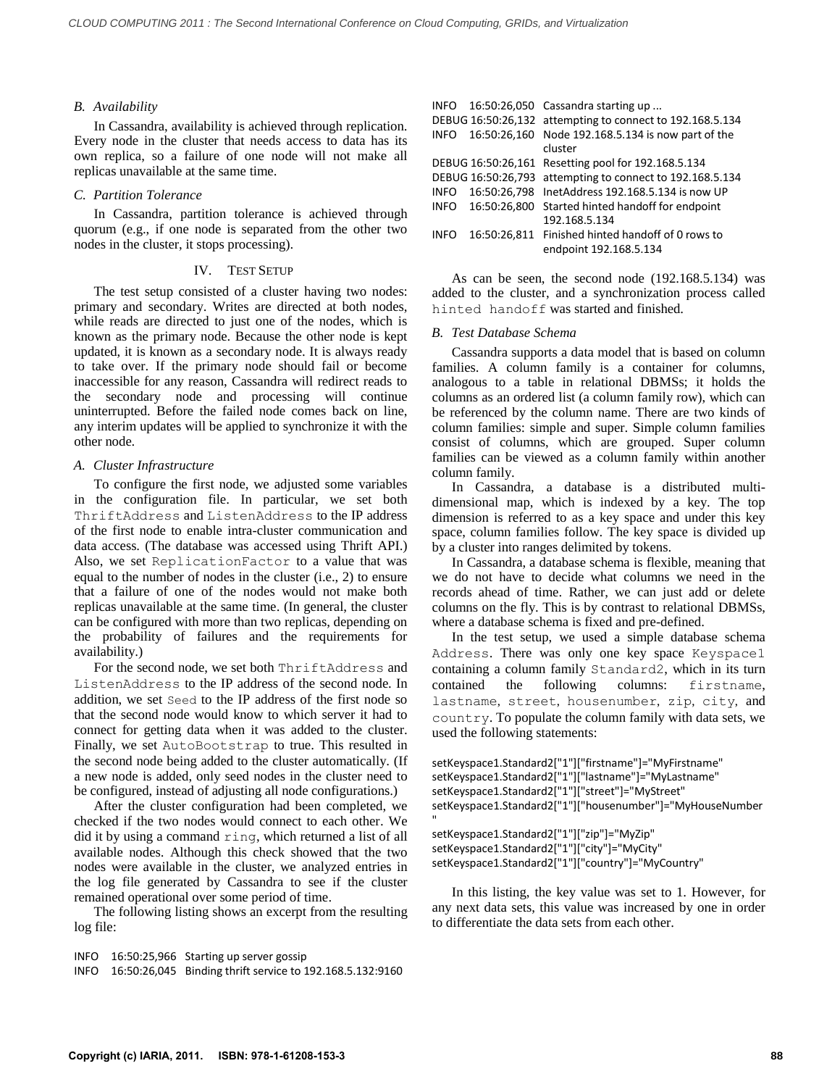## *B. Availability*

In Cassandra, availability is achieved through replication. Every node in the cluster that needs access to data has its own replica, so a failure of one node will not make all replicas unavailable at the same time.

## *C. Partition Tolerance*

In Cassandra, partition tolerance is achieved through quorum (e.g., if one node is separated from the other two nodes in the cluster, it stops processing).

### IV. TEST SETUP

The test setup consisted of a cluster having two nodes: primary and secondary. Writes are directed at both nodes, while reads are directed to just one of the nodes, which is known as the primary node. Because the other node is kept updated, it is known as a secondary node. It is always ready to take over. If the primary node should fail or become inaccessible for any reason, Cassandra will redirect reads to the secondary node and processing will continue uninterrupted. Before the failed node comes back on line, any interim updates will be applied to synchronize it with the other node.

## *A. Cluster Infrastructure*

To configure the first node, we adjusted some variables in the configuration file. In particular, we set both ThriftAddress and ListenAddress to the IP address of the first node to enable intra-cluster communication and data access. (The database was accessed using Thrift API.) Also, we set ReplicationFactor to a value that was equal to the number of nodes in the cluster (i.e., 2) to ensure that a failure of one of the nodes would not make both replicas unavailable at the same time. (In general, the cluster can be configured with more than two replicas, depending on the probability of failures and the requirements for availability.)

For the second node, we set both ThriftAddress and ListenAddress to the IP address of the second node. In addition, we set Seed to the IP address of the first node so that the second node would know to which server it had to connect for getting data when it was added to the cluster. Finally, we set AutoBootstrap to true. This resulted in the second node being added to the cluster automatically. (If a new node is added, only seed nodes in the cluster need to be configured, instead of adjusting all node configurations.)

After the cluster configuration had been completed, we checked if the two nodes would connect to each other. We did it by using a command ring, which returned a list of all available nodes. Although this check showed that the two nodes were available in the cluster, we analyzed entries in the log file generated by Cassandra to see if the cluster remained operational over some period of time.

The following listing shows an excerpt from the resulting log file:

```
INFO 16:50:25,966 Starting up server gossip
```

```
INFO 16:50:26,045 Binding thrift service to 192.168.5.132:9160
```

| INFO        |                    | 16:50:26,050 Cassandra starting up                                          |
|-------------|--------------------|-----------------------------------------------------------------------------|
|             |                    | DEBUG 16:50:26,132 attempting to connect to 192.168.5.134                   |
| INFO        |                    | 16:50:26,160 Node 192.168.5.134 is now part of the<br>cluster               |
|             |                    | DEBUG 16:50:26,161 Resetting pool for 192.168.5.134                         |
|             | DEBUG 16:50:26,793 | attempting to connect to 192.168.5.134                                      |
|             | INFO 16:50:26,798  | InetAddress 192.168.5.134 is now UP                                         |
| INFO        | 16:50:26.800       | Started hinted handoff for endpoint                                         |
|             |                    | 192.168.5.134                                                               |
| <b>INFO</b> |                    | 16:50:26,811 Finished hinted handoff of 0 rows to<br>endpoint 192.168.5.134 |

As can be seen, the second node (192.168.5.134) was added to the cluster, and a synchronization process called hinted handoff was started and finished.

# *B. Test Database Schema*

Cassandra supports a data model that is based on column families. A column family is a container for columns, analogous to a table in relational DBMSs; it holds the columns as an ordered list (a column family row), which can be referenced by the column name. There are two kinds of column families: simple and super. Simple column families consist of columns, which are grouped. Super column families can be viewed as a column family within another column family.

In Cassandra, a database is a distributed multidimensional map, which is indexed by a key. The top dimension is referred to as a key space and under this key space, column families follow. The key space is divided up by a cluster into ranges delimited by tokens.

In Cassandra, a database schema is flexible, meaning that we do not have to decide what columns we need in the records ahead of time. Rather, we can just add or delete columns on the fly. This is by contrast to relational DBMSs, where a database schema is fixed and pre-defined.

In the test setup, we used a simple database schema Address. There was only one key space Keyspace1 containing a column family Standard2, which in its turn contained the following columns: firstname, lastname, street, housenumber, zip, city, and country. To populate the column family with data sets, we used the following statements:

setKeyspace1.Standard2["1"]["firstname"]="MyFirstname" setKeyspace1.Standard2["1"]["lastname"]="MyLastname" setKeyspace1.Standard2["1"]["street"]="MyStreet" setKeyspace1.Standard2["1"]["housenumber"]="MyHouseNumber

" setKeyspace1.Standard2["1"]["zip"]="MyZip" setKeyspace1.Standard2["1"]["city"]="MyCity" setKeyspace1.Standard2["1"]["country"]="MyCountry"

In this listing, the key value was set to 1. However, for any next data sets, this value was increased by one in order to differentiate the data sets from each other.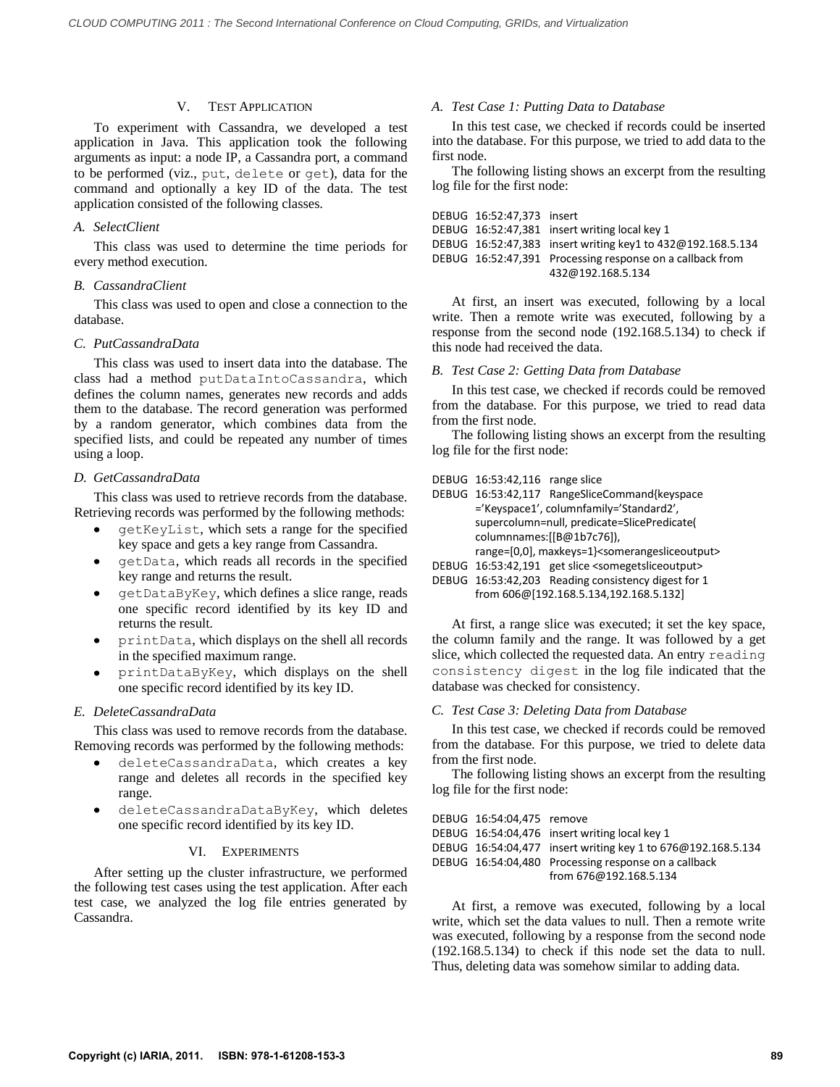# V. TEST APPLICATION

To experiment with Cassandra, we developed a test application in Java. This application took the following arguments as input: a node IP, a Cassandra port, a command to be performed (viz., put, delete or get), data for the command and optionally a key ID of the data. The test application consisted of the following classes.

#### *A. SelectClient*

This class was used to determine the time periods for every method execution.

#### *B. CassandraClient*

This class was used to open and close a connection to the database.

#### *C. PutCassandraData*

This class was used to insert data into the database. The class had a method putDataIntoCassandra, which defines the column names, generates new records and adds them to the database. The record generation was performed by a random generator, which combines data from the specified lists, and could be repeated any number of times using a loop.

#### *D. GetCassandraData*

This class was used to retrieve records from the database. Retrieving records was performed by the following methods:

- getKeyList, which sets a range for the specified key space and gets a key range from Cassandra.
- getData, which reads all records in the specified key range and returns the result.
- getDataByKey, which defines a slice range, reads one specific record identified by its key ID and returns the result.
- printData, which displays on the shell all records in the specified maximum range.
- printDataByKey, which displays on the shell one specific record identified by its key ID.

## *E. DeleteCassandraData*

This class was used to remove records from the database. Removing records was performed by the following methods:

- deleteCassandraData, which creates a key  $\bullet$ range and deletes all records in the specified key range.
- deleteCassandraDataByKey, which deletes one specific record identified by its key ID.

## VI. EXPERIMENTS

After setting up the cluster infrastructure, we performed the following test cases using the test application. After each test case, we analyzed the log file entries generated by Cassandra.

## *A. Test Case 1: Putting Data to Database*

In this test case, we checked if records could be inserted into the database. For this purpose, we tried to add data to the first node.

The following listing shows an excerpt from the resulting log file for the first node:

| DEBUG 16:52:47.373 insert |                                                             |
|---------------------------|-------------------------------------------------------------|
|                           | DEBUG 16:52:47,381 insert writing local key 1               |
|                           | DEBUG 16:52:47,383 insert writing key1 to 432@192.168.5.134 |
|                           | DEBUG 16:52:47,391 Processing response on a callback from   |
|                           | 432@192.168.5.134                                           |

At first, an insert was executed, following by a local write. Then a remote write was executed, following by a response from the second node (192.168.5.134) to check if this node had received the data.

### *B. Test Case 2: Getting Data from Database*

In this test case, we checked if records could be removed from the database. For this purpose, we tried to read data from the first node.

The following listing shows an excerpt from the resulting log file for the first node:

|  | DEBUG 16:53:42,116 range slice |  |
|--|--------------------------------|--|
|--|--------------------------------|--|

| DEBUG 16:53:42,117 RangeSliceCommand{keyspace                          |  |  |  |
|------------------------------------------------------------------------|--|--|--|
| ='Keyspace1', columnfamily='Standard2',                                |  |  |  |
| supercolumn=null, predicate=SlicePredicate(                            |  |  |  |
| columnnames:[[B@1b7c76]),                                              |  |  |  |
| range=[0,0], maxkeys=1} <somerangesliceoutput></somerangesliceoutput>  |  |  |  |
| DEBUG 16:53:42,191 get slice <somegetsliceoutput></somegetsliceoutput> |  |  |  |
| DEBUG 16:53:42,203 Reading consistency digest for 1                    |  |  |  |
| from 606@[192.168.5.134,192.168.5.132]                                 |  |  |  |

At first, a range slice was executed; it set the key space, the column family and the range. It was followed by a get slice, which collected the requested data. An entry reading consistency digest in the log file indicated that the database was checked for consistency.

## *C. Test Case 3: Deleting Data from Database*

In this test case, we checked if records could be removed from the database. For this purpose, we tried to delete data from the first node.

The following listing shows an excerpt from the resulting log file for the first node:

| DEBUG 16:54:04.475 remove |                                                              |
|---------------------------|--------------------------------------------------------------|
|                           | DEBUG 16:54:04,476 insert writing local key 1                |
|                           | DEBUG 16:54:04,477 insert writing key 1 to 676@192.168.5.134 |
|                           | DEBUG 16:54:04,480 Processing response on a callback         |
|                           | from 676@192.168.5.134                                       |

At first, a remove was executed, following by a local write, which set the data values to null. Then a remote write was executed, following by a response from the second node (192.168.5.134) to check if this node set the data to null. Thus, deleting data was somehow similar to adding data.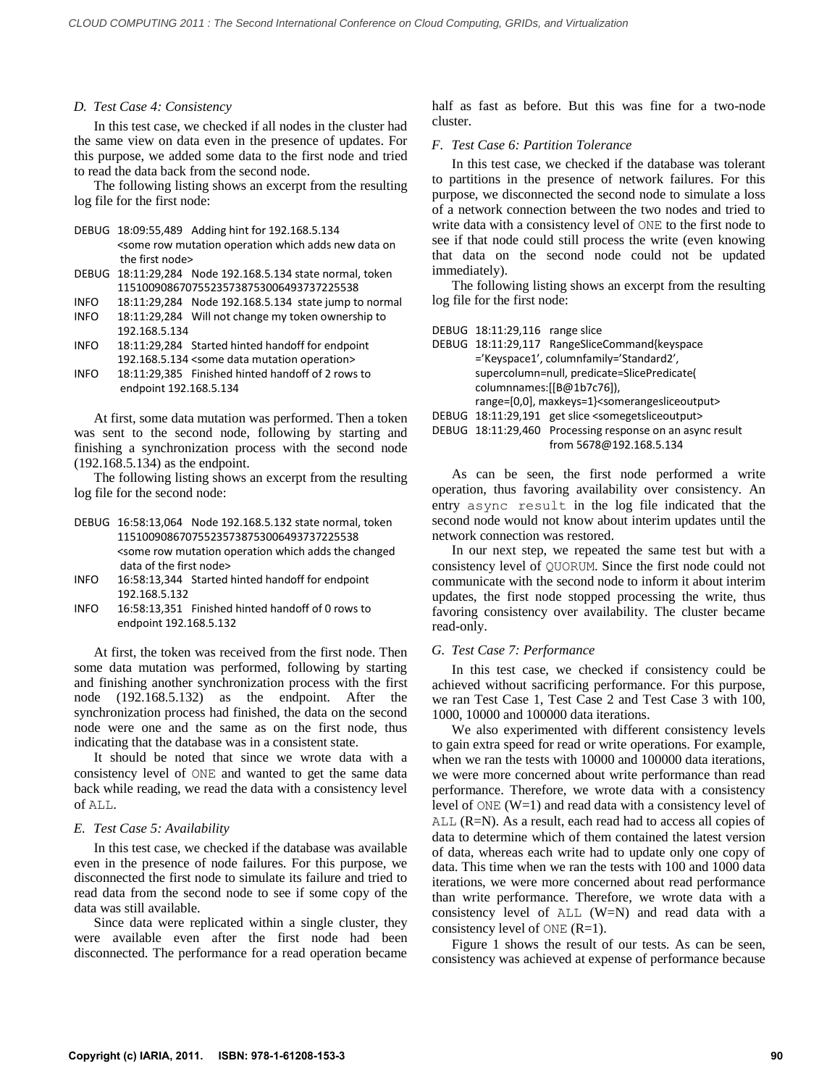#### *D. Test Case 4: Consistency*

In this test case, we checked if all nodes in the cluster had the same view on data even in the presence of updates. For this purpose, we added some data to the first node and tried to read the data back from the second node.

The following listing shows an excerpt from the resulting log file for the first node:

DEBUG 18:09:55,489 Adding hint for 192.168.5.134

<some row mutation operation which adds new data on the first node>

- DEBUG 18:11:29,284 Node 192.168.5.134 state normal, token 115100908670755235738753006493737225538
- INFO 18:11:29,284 Node 192.168.5.134 state jump to normal
- INFO 18:11:29,284 Will not change my token ownership to 192.168.5.134
- INFO 18:11:29,284 Started hinted handoff for endpoint 192.168.5.134 <some data mutation operation>
- INFO 18:11:29,385 Finished hinted handoff of 2 rows to endpoint 192.168.5.134

At first, some data mutation was performed. Then a token was sent to the second node, following by starting and finishing a synchronization process with the second node (192.168.5.134) as the endpoint.

The following listing shows an excerpt from the resulting log file for the second node:

- DEBUG 16:58:13,064 Node 192.168.5.132 state normal, token 115100908670755235738753006493737225538 <some row mutation operation which adds the changed data of the first node>
- INFO 16:58:13,344 Started hinted handoff for endpoint 192.168.5.132
- INFO 16:58:13,351 Finished hinted handoff of 0 rows to endpoint 192.168.5.132

At first, the token was received from the first node. Then some data mutation was performed, following by starting and finishing another synchronization process with the first node (192.168.5.132) as the endpoint. After the synchronization process had finished, the data on the second node were one and the same as on the first node, thus indicating that the database was in a consistent state.

It should be noted that since we wrote data with a consistency level of ONE and wanted to get the same data back while reading, we read the data with a consistency level of ALL.

## *E. Test Case 5: Availability*

In this test case, we checked if the database was available even in the presence of node failures. For this purpose, we disconnected the first node to simulate its failure and tried to read data from the second node to see if some copy of the data was still available.

Since data were replicated within a single cluster, they were available even after the first node had been disconnected. The performance for a read operation became half as fast as before. But this was fine for a two-node cluster.

### *F. Test Case 6: Partition Tolerance*

In this test case, we checked if the database was tolerant to partitions in the presence of network failures. For this purpose, we disconnected the second node to simulate a loss of a network connection between the two nodes and tried to write data with a consistency level of ONE to the first node to see if that node could still process the write (even knowing that data on the second node could not be updated immediately).

The following listing shows an excerpt from the resulting log file for the first node:

DEBUG 18:11:29,116 range slice

|                           | DEBUG 18:11:29,117 RangeSliceCommand{keyspace                          |  |
|---------------------------|------------------------------------------------------------------------|--|
|                           | ='Keyspace1', columnfamily='Standard2',                                |  |
|                           | supercolumn=null, predicate=SlicePredicate(                            |  |
| columnnames:[[B@1b7c76]), |                                                                        |  |
|                           | range=[0,0], maxkeys=1} <somerangesliceoutput></somerangesliceoutput>  |  |
|                           | DEBUG 18:11:29,191 get slice <somegetsliceoutput></somegetsliceoutput> |  |
|                           | DEBUG 18:11:29,460 Processing response on an async result              |  |
|                           | from 5678@192.168.5.134                                                |  |
|                           |                                                                        |  |

As can be seen, the first node performed a write operation, thus favoring availability over consistency. An entry async result in the log file indicated that the second node would not know about interim updates until the network connection was restored.

In our next step, we repeated the same test but with a consistency level of QUORUM. Since the first node could not communicate with the second node to inform it about interim updates, the first node stopped processing the write, thus favoring consistency over availability. The cluster became read-only.

## *G. Test Case 7: Performance*

In this test case, we checked if consistency could be achieved without sacrificing performance. For this purpose, we ran Test Case 1, Test Case 2 and Test Case 3 with 100, 1000, 10000 and 100000 data iterations.

We also experimented with different consistency levels to gain extra speed for read or write operations. For example, when we ran the tests with 10000 and 100000 data iterations, we were more concerned about write performance than read performance. Therefore, we wrote data with a consistency level of ONE (W=1) and read data with a consistency level of ALL (R=N). As a result, each read had to access all copies of data to determine which of them contained the latest version of data, whereas each write had to update only one copy of data. This time when we ran the tests with 100 and 1000 data iterations, we were more concerned about read performance than write performance. Therefore, we wrote data with a consistency level of ALL (W=N) and read data with a consistency level of  $\circ$ NE (R=1).

Figure 1 shows the result of our tests. As can be seen, consistency was achieved at expense of performance because